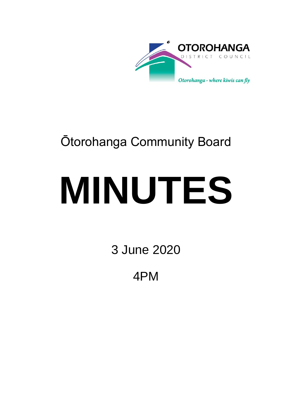

## Ōtorohanga Community Board

# **MINUTES**

3 June 2020

4PM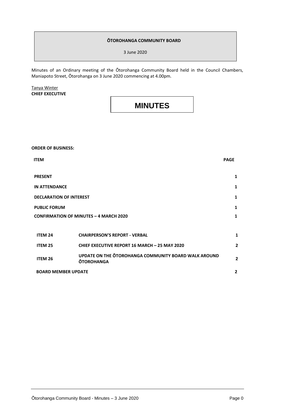#### **ŌTOROHANGA COMMUNITY BOARD**

3 June 2020

Minutes of an Ordinary meeting of the Ōtorohanga Community Board held in the Council Chambers, Maniapoto Street, Ōtorohanga on 3 June 2020 commencing at 4.00pm.

Tanya Winter **CHIEF EXECUTIVE**

### **MINUTES**

**ORDER OF BUSINESS:**

| <b>ITEM</b>                                   |                                                                           | <b>PAGE</b>    |
|-----------------------------------------------|---------------------------------------------------------------------------|----------------|
| <b>PRESENT</b>                                |                                                                           | 1              |
| <b>IN ATTENDANCE</b>                          |                                                                           | $\mathbf{1}$   |
| <b>DECLARATION OF INTEREST</b>                |                                                                           | 1              |
| <b>PUBLIC FORUM</b>                           |                                                                           | $\mathbf{1}$   |
| <b>CONFIRMATION OF MINUTES - 4 MARCH 2020</b> |                                                                           | $\mathbf{1}$   |
|                                               |                                                                           |                |
| <b>ITEM 24</b>                                | <b>CHAIRPERSON'S REPORT - VERBAL</b>                                      | 1              |
| <b>ITEM 25</b>                                | <b>CHIEF EXECUTIVE REPORT 16 MARCH - 25 MAY 2020</b>                      | $\overline{2}$ |
| <b>ITEM 26</b>                                | UPDATE ON THE OTOROHANGA COMMUNITY BOARD WALK AROUND<br><b>ŌTOROHANGA</b> | $\overline{2}$ |
| <b>BOARD MEMBER UPDATE</b>                    |                                                                           | $\overline{2}$ |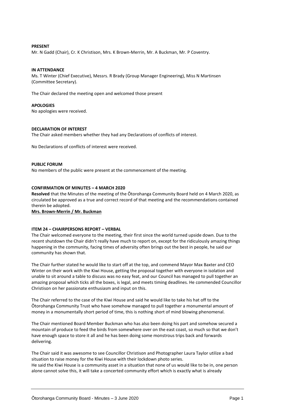#### **PRESENT**

Mr. N Gadd (Chair), Cr. K Christison, Mrs. K Brown-Merrin, Mr. A Buckman, Mr. P Coventry.

#### **IN ATTENDANCE**

Ms. T Winter (Chief Executive), Messrs. R Brady (Group Manager Engineering), Miss N Martinsen (Committee Secretary).

The Chair declared the meeting open and welcomed those present

#### **APOLOGIES**

No apologies were received.

#### **DECLARATION OF INTEREST**

The Chair asked members whether they had any Declarations of conflicts of interest.

No Declarations of conflicts of interest were received.

#### **PUBLIC FORUM**

No members of the public were present at the commencement of the meeting.

#### **CONFIRMATION OF MINUTES – 4 MARCH 2020**

**Resolved** that the Minutes of the meeting of the Ōtorohanga Community Board held on 4 March 2020, as circulated be approved as a true and correct record of that meeting and the recommendations contained therein be adopted.

**Mrs. Brown-Merrin / Mr. Buckman**

#### **ITEM 24 – CHAIRPERSONS REPORT – VERBAL**

The Chair welcomed everyone to the meeting, their first since the world turned upside down. Due to the recent shutdown the Chair didn't really have much to report on, except for the ridiculously amazing things happening in the community, facing times of adversity often brings out the best in people, he said our community has shown that.

The Chair further stated he would like to start off at the top, and commend Mayor Max Baxter and CEO Winter on their work with the Kiwi House, getting the proposal together with everyone in isolation and unable to sit around a table to discuss was no easy feat, and our Council has managed to pull together an amazing proposal which ticks all the boxes, is legal, and meets timing deadlines. He commended Councillor Christison on her passionate enthusiasm and input on this.

The Chair referred to the case of the Kiwi House and said he would like to take his hat off to the Ōtorohanga Community Trust who have somehow managed to pull together a monumental amount of money in a monumentally short period of time, this is nothing short of mind blowing phenomenal.

The Chair mentioned Board Member Buckman who has also been doing his part and somehow secured a mountain of produce to feed the birds from somewhere over on the east coast, so much so that we don't have enough space to store it all and he has been doing some monstrous trips back and forwards delivering.

The Chair said it was awesome to see Councillor Christison and Photographer Laura Taylor utilize a bad situation to raise money for the Kiwi House with their lockdown photo series. He said the Kiwi House is a community asset in a situation that none of us would like to be in, one person alone cannot solve this, it will take a concerted community effort which is exactly what is already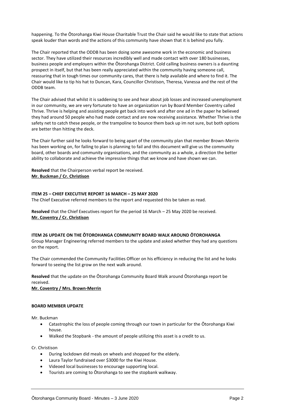happening. To the Ōtorohanga Kiwi House Charitable Trust the Chair said he would like to state that actions speak louder than words and the actions of this community have shown that it is behind you fully.

The Chair reported that the ODDB has been doing some awesome work in the economic and business sector. They have utilized their resources incredibly well and made contact with over 180 businesses, business people and employers within the Ōtorohanga District. Cold calling business owners is a daunting prospect in itself, but that has been really appreciated within the community having someone call, reassuring that in tough times our community cares, that there is help available and where to find it. The Chair would like to tip his hat to Duncan, Kara, Councillor Christison, Theresa, Vanessa and the rest of the ODDB team.

The Chair advised that whilst it is saddening to see and hear about job losses and increased unemployment in our community, we are very fortunate to have an organization run by Board Member Coventry called Thrive. Thrive is helping and assisting people get back into work and after one ad in the paper he believed they had around 50 people who had made contact and are now receiving assistance. Whether Thrive is the safety net to catch these people, or the trampoline to bounce them back up im not sure, but both options are better than hitting the deck.

The Chair further said he looks forward to being apart of the community plan that member Brown-Merrin has been working on, for failing to plan is planning to fail and this document will give us the community board, other boards and community organisations, and the community as a whole, a direction the better ability to collaborate and achieve the impressive things that we know and have shown we can.

**Resolved** that the Chairperson verbal report be received. **Mr. Buckman / Cr. Christison**

#### **ITEM 25 – CHIEF EXECUTIVE REPORT 16 MARCH – 25 MAY 2020**

The Chief Executive referred members to the report and requested this be taken as read.

**Resolved** that the Chief Executives report for the period 16 March – 25 May 2020 be received. **Mr. Coventry / Cr. Christison**

#### **ITEM 26 UPDATE ON THE ŌTOROHANGA COMMUNITY BOARD WALK AROUND ŌTOROHANGA**

Group Manager Engineering referred members to the update and asked whether they had any questions on the report.

The Chair commended the Community Facilities Officer on his efficiency in reducing the list and he looks forward to seeing the list grow on the next walk around.

**Resolved** that the update on the Ōtorohanga Community Board Walk around Ōtorohanga report be received.

**Mr. Coventry / Mrs. Brown-Merrin**

#### **BOARD MEMBER UPDATE**

Mr. Buckman

- Catastrophic the loss of people coming through our town in particular for the Ōtorohanga Kiwi house.
- Walked the Stopbank the amount of people utilizing this asset is a credit to us.

Cr. Christison

- During lockdown did meals on wheels and shopped for the elderly.
- Laura Taylor fundraised over \$3000 for the Kiwi House.
- Videoed local businesses to encourage supporting local.
- Tourists are coming to Ōtorohanga to see the stopbank walkway.